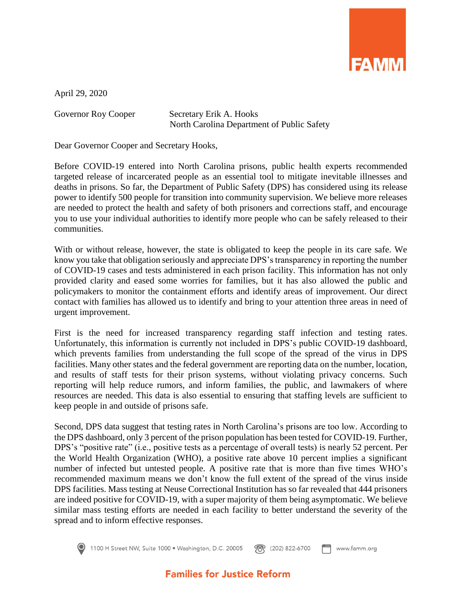

April 29, 2020

Governor Roy Cooper Secretary Erik A. Hooks North Carolina Department of Public Safety

Dear Governor Cooper and Secretary Hooks,

Before COVID-19 entered into North Carolina prisons, public health experts recommended targeted release of incarcerated people as an essential tool to mitigate inevitable illnesses and deaths in prisons. So far, the Department of Public Safety (DPS) has considered using its release power to identify 500 people for transition into community supervision. We believe more releases are needed to protect the health and safety of both prisoners and corrections staff, and encourage you to use your individual authorities to identify more people who can be safely released to their communities.

With or without release, however, the state is obligated to keep the people in its care safe. We know you take that obligation seriously and appreciate DPS's transparency in reporting the number of COVID-19 cases and tests administered in each prison facility. This information has not only provided clarity and eased some worries for families, but it has also allowed the public and policymakers to monitor the containment efforts and identify areas of improvement. Our direct contact with families has allowed us to identify and bring to your attention three areas in need of urgent improvement.

First is the need for increased transparency regarding staff infection and testing rates. Unfortunately, this information is currently not included in DPS's public COVID-19 dashboard, which prevents families from understanding the full scope of the spread of the virus in DPS facilities. Many other states and the federal government are reporting data on the number, location, and results of staff tests for their prison systems, without violating privacy concerns. Such reporting will help reduce rumors, and inform families, the public, and lawmakers of where resources are needed. This data is also essential to ensuring that staffing levels are sufficient to keep people in and outside of prisons safe.

Second, DPS data suggest that testing rates in North Carolina's prisons are too low. According to the DPS dashboard, only 3 percent of the prison population has been tested for COVID-19. Further, DPS's "positive rate" (i.e., positive tests as a percentage of overall tests) is nearly 52 percent. Per the World Health Organization (WHO), a positive rate above 10 percent implies a significant number of infected but untested people. A positive rate that is more than five times WHO's recommended maximum means we don't know the full extent of the spread of the virus inside DPS facilities. Mass testing at Neuse Correctional Institution has so far revealed that 444 prisoners are indeed positive for COVID-19, with a super majority of them being asymptomatic. We believe similar mass testing efforts are needed in each facility to better understand the severity of the spread and to inform effective responses.



1100 H Street NW, Suite 1000 · Washington, D.C. 20005 **图** (202) 822-6700 www.famm.org

## **Families for Justice Reform**